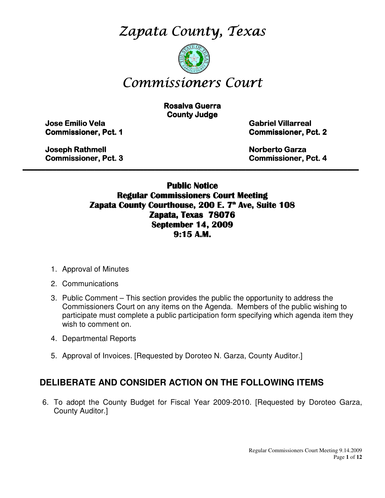Zapata County, Texas



# Commissioners Court

**Rosalva Guerra County Judge** 

Jose Emilio Vela Emilio Vela Vela Gabriel Villarreal Villarreal Villarreal

**Commissioner, Pct. 1 Commissioner, Pct. 2** 

Joseph Rathmell Rathmell Norberto Garza Garza Garza

Commissioner, Pct. 3 3 Commissioner, Pct. 4

Public Notice Regular Commissioners Court Meeting Zapata County Courthouse, 200 E. 7<sup>th</sup> Ave, Suite 108 Zapata, Texas 78076 September 14, 2009 9:15 A.M.

\_\_\_\_\_\_\_\_\_\_\_\_\_\_\_\_\_\_\_\_\_\_\_\_\_\_\_\_\_\_\_\_\_\_\_\_\_\_\_\_\_\_\_\_\_\_\_\_\_\_\_\_\_\_\_\_\_\_\_\_\_\_\_\_\_\_\_\_\_\_\_\_\_\_\_\_\_\_\_\_\_\_\_\_\_\_\_\_\_

- 1. Approval of Minutes
- 2. Communications
- 3. Public Comment This section provides the public the opportunity to address the Commissioners Court on any items on the Agenda. Members of the public wishing to participate must complete a public participation form specifying which agenda item they wish to comment on.
- 4. Departmental Reports
- 5. Approval of Invoices. [Requested by Doroteo N. Garza, County Auditor.]

## **DELIBERATE AND CONSIDER ACTION ON THE FOLLOWING ITEMS**

6. To adopt the County Budget for Fiscal Year 2009-2010. [Requested by Doroteo Garza, County Auditor.]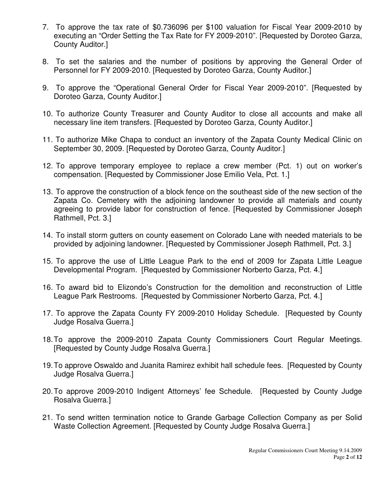- 7. To approve the tax rate of \$0.736096 per \$100 valuation for Fiscal Year 2009-2010 by executing an "Order Setting the Tax Rate for FY 2009-2010". [Requested by Doroteo Garza, County Auditor.]
- 8. To set the salaries and the number of positions by approving the General Order of Personnel for FY 2009-2010. [Requested by Doroteo Garza, County Auditor.]
- 9. To approve the "Operational General Order for Fiscal Year 2009-2010". [Requested by Doroteo Garza, County Auditor.]
- 10. To authorize County Treasurer and County Auditor to close all accounts and make all necessary line item transfers. [Requested by Doroteo Garza, County Auditor.]
- 11. To authorize Mike Chapa to conduct an inventory of the Zapata County Medical Clinic on September 30, 2009. [Requested by Doroteo Garza, County Auditor.]
- 12. To approve temporary employee to replace a crew member (Pct. 1) out on worker's compensation. [Requested by Commissioner Jose Emilio Vela, Pct. 1.]
- 13. To approve the construction of a block fence on the southeast side of the new section of the Zapata Co. Cemetery with the adjoining landowner to provide all materials and county agreeing to provide labor for construction of fence. [Requested by Commissioner Joseph Rathmell, Pct. 3.]
- 14. To install storm gutters on county easement on Colorado Lane with needed materials to be provided by adjoining landowner. [Requested by Commissioner Joseph Rathmell, Pct. 3.]
- 15. To approve the use of Little League Park to the end of 2009 for Zapata Little League Developmental Program. [Requested by Commissioner Norberto Garza, Pct. 4.]
- 16. To award bid to Elizondo's Construction for the demolition and reconstruction of Little League Park Restrooms. [Requested by Commissioner Norberto Garza, Pct. 4.]
- 17. To approve the Zapata County FY 2009-2010 Holiday Schedule. [Requested by County Judge Rosalva Guerra.]
- 18. To approve the 2009-2010 Zapata County Commissioners Court Regular Meetings. [Requested by County Judge Rosalva Guerra.]
- 19. To approve Oswaldo and Juanita Ramirez exhibit hall schedule fees. [Requested by County Judge Rosalva Guerra.]
- 20. To approve 2009-2010 Indigent Attorneys' fee Schedule. [Requested by County Judge Rosalva Guerra.]
- 21. To send written termination notice to Grande Garbage Collection Company as per Solid Waste Collection Agreement. [Requested by County Judge Rosalva Guerra.]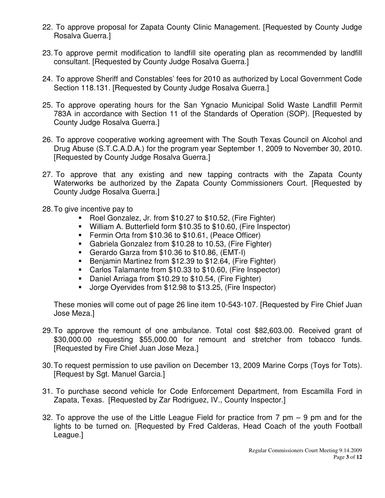- 22. To approve proposal for Zapata County Clinic Management. [Requested by County Judge Rosalva Guerra.]
- 23. To approve permit modification to landfill site operating plan as recommended by landfill consultant. [Requested by County Judge Rosalva Guerra.]
- 24. To approve Sheriff and Constables' fees for 2010 as authorized by Local Government Code Section 118.131. [Requested by County Judge Rosalva Guerra.]
- 25. To approve operating hours for the San Ygnacio Municipal Solid Waste Landfill Permit 783A in accordance with Section 11 of the Standards of Operation (SOP). [Requested by County Judge Rosalva Guerra.]
- 26. To approve cooperative working agreement with The South Texas Council on Alcohol and Drug Abuse (S.T.C.A.D.A.) for the program year September 1, 2009 to November 30, 2010. [Requested by County Judge Rosalva Guerra.]
- 27. To approve that any existing and new tapping contracts with the Zapata County Waterworks be authorized by the Zapata County Commissioners Court. [Requested by County Judge Rosalva Guerra.]
- 28. To give incentive pay to
	- Roel Gonzalez, Jr. from \$10.27 to \$10.52, (Fire Fighter)
	- William A. Butterfield form \$10.35 to \$10.60, (Fire Inspector)
	- **Fermin Orta from \$10.36 to \$10.61, (Peace Officer)**
	- Gabriela Gonzalez from \$10.28 to 10.53, (Fire Fighter)
	- Gerardo Garza from \$10.36 to \$10.86, (EMT-I)
	- **Benjamin Martinez from \$12.39 to \$12.64, (Fire Fighter)**
	- Carlos Talamante from \$10.33 to \$10.60, (Fire Inspector)
	- Daniel Arriaga from \$10.29 to \$10.54, (Fire Fighter)
	- Jorge Oyervides from \$12.98 to \$13.25, (Fire Inspector)

These monies will come out of page 26 line item 10-543-107. [Requested by Fire Chief Juan Jose Meza.]

- 29. To approve the remount of one ambulance. Total cost \$82,603.00. Received grant of \$30,000.00 requesting \$55,000.00 for remount and stretcher from tobacco funds. [Requested by Fire Chief Juan Jose Meza.]
- 30. To request permission to use pavilion on December 13, 2009 Marine Corps (Toys for Tots). [Request by Sgt. Manuel Garcia.]
- 31. To purchase second vehicle for Code Enforcement Department, from Escamilla Ford in Zapata, Texas. [Requested by Zar Rodriguez, IV., County Inspector.]
- 32. To approve the use of the Little League Field for practice from 7 pm 9 pm and for the lights to be turned on. [Requested by Fred Calderas, Head Coach of the youth Football League.]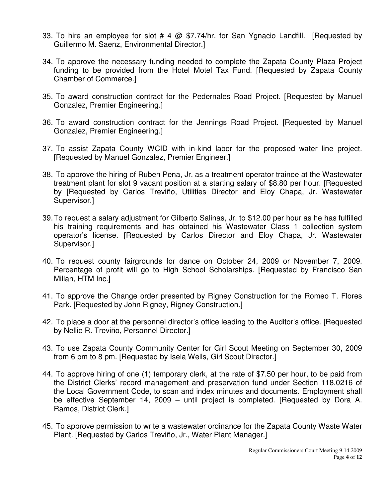- 33. To hire an employee for slot # 4 @ \$7.74/hr. for San Ygnacio Landfill. [Requested by Guillermo M. Saenz, Environmental Director.]
- 34. To approve the necessary funding needed to complete the Zapata County Plaza Project funding to be provided from the Hotel Motel Tax Fund. [Requested by Zapata County Chamber of Commerce.]
- 35. To award construction contract for the Pedernales Road Project. [Requested by Manuel Gonzalez, Premier Engineering.]
- 36. To award construction contract for the Jennings Road Project. [Requested by Manuel Gonzalez, Premier Engineering.]
- 37. To assist Zapata County WCID with in-kind labor for the proposed water line project. [Requested by Manuel Gonzalez, Premier Engineer.]
- 38. To approve the hiring of Ruben Pena, Jr. as a treatment operator trainee at the Wastewater treatment plant for slot 9 vacant position at a starting salary of \$8.80 per hour. [Requested by [Requested by Carlos Treviño, Utilities Director and Eloy Chapa, Jr. Wastewater Supervisor.]
- 39. To request a salary adjustment for Gilberto Salinas, Jr. to \$12.00 per hour as he has fulfilled his training requirements and has obtained his Wastewater Class 1 collection system operator's license. [Requested by Carlos Director and Eloy Chapa, Jr. Wastewater Supervisor.]
- 40. To request county fairgrounds for dance on October 24, 2009 or November 7, 2009. Percentage of profit will go to High School Scholarships. [Requested by Francisco San Millan, HTM Inc.]
- 41. To approve the Change order presented by Rigney Construction for the Romeo T. Flores Park. [Requested by John Rigney, Rigney Construction.]
- 42. To place a door at the personnel director's office leading to the Auditor's office. [Requested by Nellie R. Treviño, Personnel Director.]
- 43. To use Zapata County Community Center for Girl Scout Meeting on September 30, 2009 from 6 pm to 8 pm. [Requested by Isela Wells, Girl Scout Director.]
- 44. To approve hiring of one (1) temporary clerk, at the rate of \$7.50 per hour, to be paid from the District Clerks' record management and preservation fund under Section 118.0216 of the Local Government Code, to scan and index minutes and documents. Employment shall be effective September 14, 2009 – until project is completed. [Requested by Dora A. Ramos, District Clerk.]
- 45. To approve permission to write a wastewater ordinance for the Zapata County Waste Water Plant. [Requested by Carlos Treviño, Jr., Water Plant Manager.]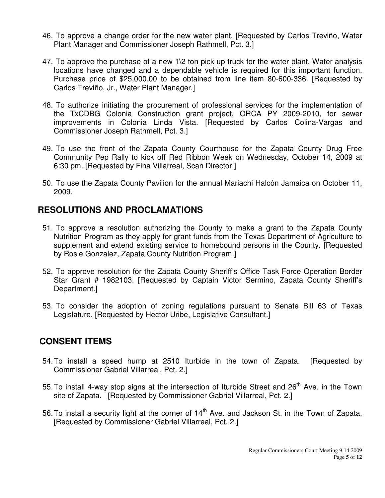- 46. To approve a change order for the new water plant. [Requested by Carlos Treviño, Water Plant Manager and Commissioner Joseph Rathmell, Pct. 3.]
- 47. To approve the purchase of a new  $1\$ 2 ton pick up truck for the water plant. Water analysis locations have changed and a dependable vehicle is required for this important function. Purchase price of \$25,000.00 to be obtained from line item 80-600-336. [Requested by Carlos Treviño, Jr., Water Plant Manager.]
- 48. To authorize initiating the procurement of professional services for the implementation of the TxCDBG Colonia Construction grant project, ORCA PY 2009-2010, for sewer improvements in Colonia Linda Vista. [Requested by Carlos Colina-Vargas and Commissioner Joseph Rathmell, Pct. 3.]
- 49. To use the front of the Zapata County Courthouse for the Zapata County Drug Free Community Pep Rally to kick off Red Ribbon Week on Wednesday, October 14, 2009 at 6:30 pm. [Requested by Fina Villarreal, Scan Director.]
- 50. To use the Zapata County Pavilion for the annual Mariachi Halcón Jamaica on October 11, 2009.

## **RESOLUTIONS AND PROCLAMATIONS**

- 51. To approve a resolution authorizing the County to make a grant to the Zapata County Nutrition Program as they apply for grant funds from the Texas Department of Agriculture to supplement and extend existing service to homebound persons in the County. [Requested by Rosie Gonzalez, Zapata County Nutrition Program.]
- 52. To approve resolution for the Zapata County Sheriff's Office Task Force Operation Border Star Grant # 1982103. [Requested by Captain Victor Sermino, Zapata County Sheriff's Department.]
- 53. To consider the adoption of zoning regulations pursuant to Senate Bill 63 of Texas Legislature. [Requested by Hector Uribe, Legislative Consultant.]

### **CONSENT ITEMS**

- 54. To install a speed hump at 2510 Iturbide in the town of Zapata. [Requested by Commissioner Gabriel Villarreal, Pct. 2.]
- 55. To install 4-way stop signs at the intersection of Iturbide Street and  $26<sup>th</sup>$  Ave. in the Town site of Zapata. [Requested by Commissioner Gabriel Villarreal, Pct. 2.]
- 56. To install a security light at the corner of  $14<sup>th</sup>$  Ave. and Jackson St. in the Town of Zapata. [Requested by Commissioner Gabriel Villarreal, Pct. 2.]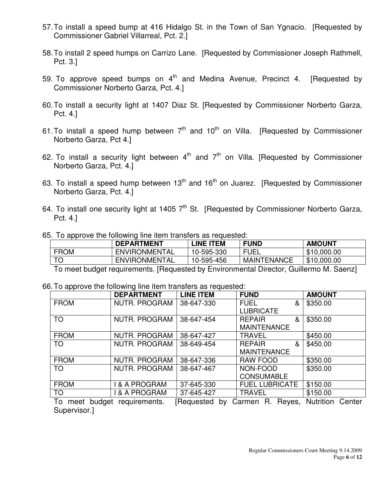- 57. To install a speed bump at 416 Hidalgo St. in the Town of San Ygnacio. [Requested by Commissioner Gabriel Villarreal, Pct. 2.]
- 58. To install 2 speed humps on Carrizo Lane. [Requested by Commissioner Joseph Rathmell, Pct. 3.]
- 59. To approve speed bumps on  $4<sup>th</sup>$  and Medina Avenue, Precinct 4. [Requested by Commissioner Norberto Garza, Pct. 4.]
- 60. To install a security light at 1407 Diaz St. [Requested by Commissioner Norberto Garza, Pct. 4.]
- 61. To install a speed hump between  $7<sup>th</sup>$  and 10<sup>th</sup> on Villa. [Requested by Commissioner Norberto Garza, Pct 4.]
- 62. To install a security light between  $4<sup>th</sup>$  and  $7<sup>th</sup>$  on Villa. [Requested by Commissioner Norberto Garza, Pct. 4.]
- 63. To install a speed hump between  $13<sup>th</sup>$  and  $16<sup>th</sup>$  on Juarez. [Requested by Commissioner Norberto Garza, Pct. 4.]
- 64. To install one security light at 1405  $7<sup>th</sup>$  St. [Requested by Commissioner Norberto Garza, Pct. 4.]

| 65. To approve the following line item transfers as requested: |  |  |  |  |  |  |
|----------------------------------------------------------------|--|--|--|--|--|--|
|----------------------------------------------------------------|--|--|--|--|--|--|

|             | <b>DEPARTMENT</b>    | <b>LINE ITEM</b> | <b>FUND</b>        | <b>AMOUNT</b>        |
|-------------|----------------------|------------------|--------------------|----------------------|
| <b>FROM</b> | <b>ENVIRONMENTAL</b> | 10-595-330       | <b>FUEL</b><br>FΙ  | \$10,000.00          |
| <b>TO</b>   | <b>ENVIRONMENTAL</b> | 10-595-456       | <b>MAINTENANCE</b> | \$10,000.00          |
|             |                      |                  |                    | $\ddot{\phantom{1}}$ |

To meet budget requirements. [Requested by Environmental Director, Guillermo M. Saenz]

|  |  |  |  |  |  |  |  |  | 66. To approve the following line item transfers as requested: |
|--|--|--|--|--|--|--|--|--|----------------------------------------------------------------|
|--|--|--|--|--|--|--|--|--|----------------------------------------------------------------|

|                      | <b>DEPARTMENT</b> | <b>LINE ITEM</b>       | <b>FUND</b>           | <b>AMOUNT</b>    |
|----------------------|-------------------|------------------------|-----------------------|------------------|
| <b>FROM</b>          | NUTR. PROGRAM     | 38-647-330             | <b>FUEL</b><br>&      | \$350.00         |
|                      |                   |                        | <b>LUBRICATE</b>      |                  |
| <b>TO</b>            | NUTR. PROGRAM     | 38-647-454             | <b>REPAIR</b><br>&    | \$350.00         |
|                      |                   |                        | <b>MAINTENANCE</b>    |                  |
| <b>FROM</b>          | NUTR. PROGRAM     | 38-647-427             | <b>TRAVEL</b>         | \$450.00         |
| <b>TO</b>            | NUTR. PROGRAM     | 38-649-454             | <b>REPAIR</b><br>&    | \$450.00         |
|                      |                   |                        | <b>MAINTENANCE</b>    |                  |
| <b>FROM</b>          | NUTR. PROGRAM     | 38-647-336             | <b>RAW FOOD</b>       | \$350.00         |
| <b>TO</b>            | NUTR. PROGRAM     | 38-647-467             | NON-FOOD              | \$350.00         |
|                      |                   |                        | <b>CONSUMABLE</b>     |                  |
| <b>FROM</b>          | & A PROGRAM       | 37-645-330             | <b>FUEL LUBRICATE</b> | \$150.00         |
| <b>TO</b>            | & A PROGRAM       | 37-645-427             | <b>TRAVEL</b>         | \$150.00         |
| ⊤∩<br>hudaat<br>moot | roquiromonte      | I Raquastad<br>$h_{1}$ | Royac<br>Carmon R     | Nutrition Contor |

To meet budget requirements. [Requested by Carmen R. Reyes, Nutrition Center Supervisor.]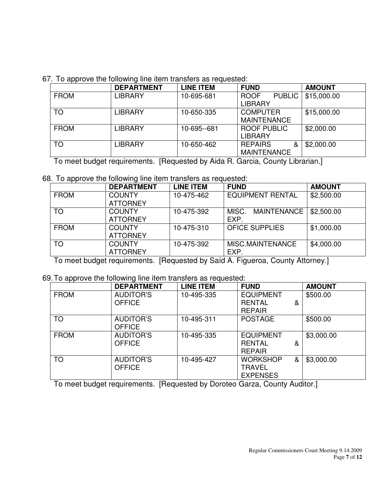67. To approve the following line item transfers as requested:

|             | <b>DEPARTMENT</b> | <b>LINE ITEM</b> | <b>FUND</b>                                    | <b>AMOUNT</b> |
|-------------|-------------------|------------------|------------------------------------------------|---------------|
| <b>FROM</b> | <b>LIBRARY</b>    | 10-695-681       | <b>PUBLIC</b><br><b>ROOF</b><br><b>LIBRARY</b> | \$15,000.00   |
|             |                   |                  |                                                |               |
| <b>TO</b>   | <b>LIBRARY</b>    | 10-650-335       | <b>COMPUTER</b>                                | \$15,000.00   |
|             |                   |                  | <b>MAINTENANCE</b>                             |               |
| <b>FROM</b> | <b>LIBRARY</b>    | 10-695--681      | <b>ROOF PUBLIC</b>                             | \$2,000.00    |
|             |                   |                  | <b>LIBRARY</b>                                 |               |
| <b>TO</b>   | <b>LIBRARY</b>    | 10-650-462       | <b>REPAIRS</b><br>&                            | \$2,000.00    |
|             |                   |                  | <b>MAINTENANCE</b>                             |               |

To meet budget requirements. [Requested by Aida R. Garcia, County Librarian.]

68. To approve the following line item transfers as requested:

|             | <b>DEPARTMENT</b> | <b>LINE ITEM</b> | <b>FUND</b>             | <b>AMOUNT</b> |
|-------------|-------------------|------------------|-------------------------|---------------|
| <b>FROM</b> | <b>COUNTY</b>     | 10-475-462       | <b>EQUIPMENT RENTAL</b> | \$2,500.00    |
|             | <b>ATTORNEY</b>   |                  |                         |               |
| <b>TO</b>   | <b>COUNTY</b>     | 10-475-392       | MAINTENANCE  <br>MISC.  | \$2,500.00    |
|             | <b>ATTORNEY</b>   |                  | EXP.                    |               |
| <b>FROM</b> | <b>COUNTY</b>     | 10-475-310       | <b>OFICE SUPPLIES</b>   | \$1,000.00    |
|             | <b>ATTORNEY</b>   |                  |                         |               |
| TO          | <b>COUNTY</b>     | 10-475-392       | MISC.MAINTENANCE        | \$4,000.00    |
|             | <b>ATTORNEY</b>   |                  | EXP.                    |               |

To meet budget requirements. [Requested by Saíd A. Figueroa, County Attorney.]

### 69. To approve the following line item transfers as requested:

|             | <b>DEPARTMENT</b> | <b>LINE ITEM</b> | <b>FUND</b>          | <b>AMOUNT</b> |
|-------------|-------------------|------------------|----------------------|---------------|
| <b>FROM</b> | <b>AUDITOR'S</b>  | 10-495-335       | <b>EQUIPMENT</b>     | \$500.00      |
|             | <b>OFFICE</b>     |                  | <b>RENTAL</b><br>&   |               |
|             |                   |                  | <b>REPAIR</b>        |               |
| <b>TO</b>   | <b>AUDITOR'S</b>  | 10-495-311       | <b>POSTAGE</b>       | \$500.00      |
|             | <b>OFFICE</b>     |                  |                      |               |
| <b>FROM</b> | <b>AUDITOR'S</b>  | 10-495-335       | <b>EQUIPMENT</b>     | \$3,000.00    |
|             | <b>OFFICE</b>     |                  | <b>RENTAL</b><br>&   |               |
|             |                   |                  | <b>REPAIR</b>        |               |
| <b>TO</b>   | <b>AUDITOR'S</b>  | 10-495-427       | <b>WORKSHOP</b><br>& | \$3,000.00    |
|             | <b>OFFICE</b>     |                  | <b>TRAVEL</b>        |               |
|             |                   |                  | <b>EXPENSES</b>      |               |

To meet budget requirements. [Requested by Doroteo Garza, County Auditor.]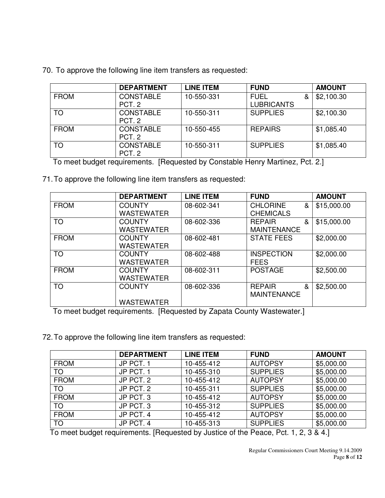|             | <b>DEPARTMENT</b> | <b>LINE ITEM</b> | <b>FUND</b>       | <b>AMOUNT</b> |
|-------------|-------------------|------------------|-------------------|---------------|
| <b>FROM</b> | <b>CONSTABLE</b>  | 10-550-331       | <b>FUEL</b><br>&  | \$2,100.30    |
|             | PCT <sub>2</sub>  |                  | <b>LUBRICANTS</b> |               |
| <b>TO</b>   | <b>CONSTABLE</b>  | 10-550-311       | <b>SUPPLIES</b>   | \$2,100.30    |
|             | PCT. 2            |                  |                   |               |
| <b>FROM</b> | <b>CONSTABLE</b>  | 10-550-455       | <b>REPAIRS</b>    | \$1,085.40    |
|             | PCT <sub>2</sub>  |                  |                   |               |
| TO          | <b>CONSTABLE</b>  | 10-550-311       | <b>SUPPLIES</b>   | \$1,085.40    |
|             | PCT. 2            |                  |                   |               |

70. To approve the following line item transfers as requested:

To meet budget requirements. [Requested by Constable Henry Martinez, Pct. 2.]

71. To approve the following line item transfers as requested:

|             | <b>DEPARTMENT</b> | <b>LINE ITEM</b> | <b>FUND</b>          | <b>AMOUNT</b> |
|-------------|-------------------|------------------|----------------------|---------------|
| <b>FROM</b> | <b>COUNTY</b>     | 08-602-341       | <b>CHLORINE</b><br>& | \$15,000.00   |
|             | WASTEWATER        |                  | <b>CHEMICALS</b>     |               |
| <b>TO</b>   | <b>COUNTY</b>     | 08-602-336       | <b>REPAIR</b><br>&   | \$15,000.00   |
|             | WASTEWATER        |                  | <b>MAINTENANCE</b>   |               |
| <b>FROM</b> | <b>COUNTY</b>     | 08-602-481       | <b>STATE FEES</b>    | \$2,000.00    |
|             | WASTEWATER        |                  |                      |               |
| <b>TO</b>   | <b>COUNTY</b>     | 08-602-488       | <b>INSPECTION</b>    | \$2,000.00    |
|             | WASTEWATER        |                  | <b>FEES</b>          |               |
| <b>FROM</b> | <b>COUNTY</b>     | 08-602-311       | <b>POSTAGE</b>       | \$2,500.00    |
|             | WASTEWATER        |                  |                      |               |
| <b>TO</b>   | <b>COUNTY</b>     | 08-602-336       | <b>REPAIR</b><br>&   | \$2,500.00    |
|             |                   |                  | <b>MAINTENANCE</b>   |               |
|             | <b>WASTEWATER</b> |                  |                      |               |

To meet budget requirements. [Requested by Zapata County Wastewater.]

72. To approve the following line item transfers as requested:

|             | <b>DEPARTMENT</b> | <b>LINE ITEM</b> | <b>FUND</b>     | <b>AMOUNT</b> |
|-------------|-------------------|------------------|-----------------|---------------|
| <b>FROM</b> | JP PCT. 1         | 10-455-412       | <b>AUTOPSY</b>  | \$5,000.00    |
| <b>TO</b>   | JP PCT. 1         | 10-455-310       | <b>SUPPLIES</b> | \$5,000.00    |
| <b>FROM</b> | JP PCT. 2         | 10-455-412       | <b>AUTOPSY</b>  | \$5,000.00    |
| <b>TO</b>   | JP PCT. 2         | 10-455-311       | <b>SUPPLIES</b> | \$5,000.00    |
| <b>FROM</b> | JP PCT. 3         | 10-455-412       | <b>AUTOPSY</b>  | \$5,000.00    |
| <b>TO</b>   | JP PCT. 3         | 10-455-312       | <b>SUPPLIES</b> | \$5,000.00    |
| <b>FROM</b> | JP PCT. 4         | 10-455-412       | <b>AUTOPSY</b>  | \$5,000.00    |
| <b>TO</b>   | JP PCT. 4         | 10-455-313       | <b>SUPPLIES</b> | \$5,000.00    |

To meet budget requirements. [Requested by Justice of the Peace, Pct. 1, 2, 3 & 4.]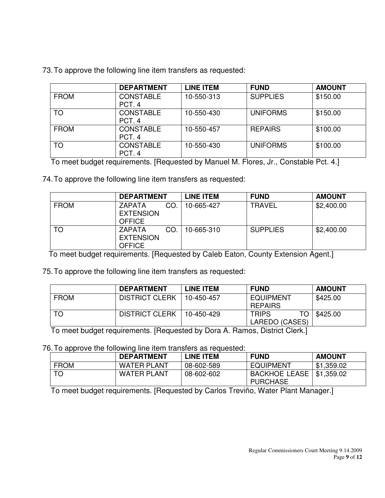|  |  |  |  |  |  |  |  |  | 73. To approve the following line item transfers as requested: |
|--|--|--|--|--|--|--|--|--|----------------------------------------------------------------|
|--|--|--|--|--|--|--|--|--|----------------------------------------------------------------|

|             | <b>DEPARTMENT</b>          | <b>LINE ITEM</b> | <b>FUND</b>     | <b>AMOUNT</b> |
|-------------|----------------------------|------------------|-----------------|---------------|
| <b>FROM</b> | <b>CONSTABLE</b><br>PCT. 4 | 10-550-313       | <b>SUPPLIES</b> | \$150.00      |
| <b>TO</b>   | <b>CONSTABLE</b><br>PCT. 4 | 10-550-430       | <b>UNIFORMS</b> | \$150.00      |
| <b>FROM</b> | <b>CONSTABLE</b><br>PCT. 4 | 10-550-457       | <b>REPAIRS</b>  | \$100.00      |
| TO          | <b>CONSTABLE</b><br>PCT. 4 | 10-550-430       | <b>UNIFORMS</b> | \$100.00      |

To meet budget requirements. [Requested by Manuel M. Flores, Jr., Constable Pct. 4.]

74. To approve the following line item transfers as requested:

|             | <b>DEPARTMENT</b>                                         | LINE ITEM  | <b>FUND</b>     | <b>AMOUNT</b> |
|-------------|-----------------------------------------------------------|------------|-----------------|---------------|
| <b>FROM</b> | CO.<br><b>ZAPATA</b><br><b>EXTENSION</b><br><b>OFFICE</b> | 10-665-427 | TRAVEL          | \$2,400.00    |
| TO          | CO.<br><b>ZAPATA</b><br><b>EXTENSION</b><br><b>OFFICE</b> | 10-665-310 | <b>SUPPLIES</b> | \$2,400.00    |

To meet budget requirements. [Requested by Caleb Eaton, County Extension Agent.]

75. To approve the following line item transfers as requested:

|             | <b>DEPARTMENT</b>     | <b>LINE ITEM</b> | <b>FUND</b>         | <b>AMOUNT</b> |
|-------------|-----------------------|------------------|---------------------|---------------|
| <b>FROM</b> | <b>DISTRICT CLERK</b> | 10-450-457       | <b>EQUIPMENT</b>    | \$425.00      |
|             |                       |                  | <b>REPAIRS</b>      |               |
| TO          | <b>DISTRICT CLERK</b> | 10-450-429       | TO.<br><b>TRIPS</b> | \$425.00      |
|             |                       |                  | LAREDO (CASES)      |               |

To meet budget requirements. [Requested by Dora A. Ramos, District Clerk.]

76. To approve the following line item transfers as requested:

|             | <b>DEPARTMENT</b>  | LINE ITEM  | <b>FUND</b>                             | <b>AMOUNT</b> |
|-------------|--------------------|------------|-----------------------------------------|---------------|
| <b>FROM</b> | <b>WATER PLANT</b> | 08-602-589 | <b>EQUIPMENT</b>                        | \$1,359.02    |
|             | <b>WATER PLANT</b> | 08-602-602 | <b>BACKHOE LEASE</b><br><b>PURCHASE</b> | \$1,359.02    |

To meet budget requirements. [Requested by Carlos Treviño, Water Plant Manager.]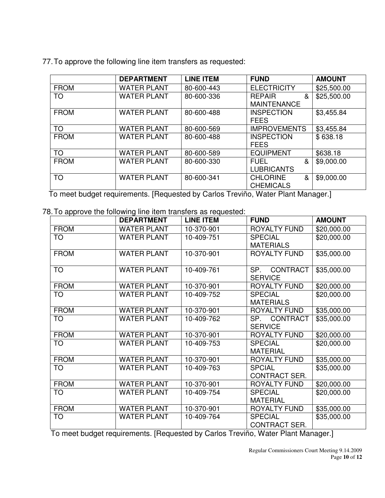|  |  | 77. To approve the following line item transfers as requested: |
|--|--|----------------------------------------------------------------|
|  |  |                                                                |

|             | <b>DEPARTMENT</b>  | <b>LINE ITEM</b> | <b>FUND</b>          | <b>AMOUNT</b> |
|-------------|--------------------|------------------|----------------------|---------------|
| <b>FROM</b> | <b>WATER PLANT</b> | 80-600-443       | <b>ELECTRICITY</b>   | \$25,500.00   |
| <b>TO</b>   | <b>WATER PLANT</b> | 80-600-336       | <b>REPAIR</b><br>&   | \$25,500.00   |
|             |                    |                  | <b>MAINTENANCE</b>   |               |
| <b>FROM</b> | <b>WATER PLANT</b> | 80-600-488       | <b>INSPECTION</b>    | \$3,455.84    |
|             |                    |                  | <b>FEES</b>          |               |
| <b>TO</b>   | <b>WATER PLANT</b> | 80-600-569       | <b>IMPROVEMENTS</b>  | \$3,455.84    |
| <b>FROM</b> | <b>WATER PLANT</b> | 80-600-488       | <b>INSPECTION</b>    | \$638.18      |
|             |                    |                  | <b>FEES</b>          |               |
| <b>TO</b>   | <b>WATER PLANT</b> | 80-600-589       | <b>EQUIPMENT</b>     | \$638.18      |
| <b>FROM</b> | <b>WATER PLANT</b> | 80-600-330       | <b>FUEL</b><br>&     | \$9,000.00    |
|             |                    |                  | <b>LUBRICANTS</b>    |               |
| <b>TO</b>   | <b>WATER PLANT</b> | 80-600-341       | <b>CHLORINE</b><br>& | \$9,000.00    |
|             |                    |                  | <b>CHEMICALS</b>     |               |

To meet budget requirements. [Requested by Carlos Treviño, Water Plant Manager.]

78. To approve the following line item transfers as requested:

|             | <b>DEPARTMENT</b>  | <b>LINE ITEM</b> | <b>FUND</b>            | <b>AMOUNT</b> |
|-------------|--------------------|------------------|------------------------|---------------|
| <b>FROM</b> | <b>WATER PLANT</b> | 10-370-901       | <b>ROYALTY FUND</b>    | \$20,000.00   |
| TO          | <b>WATER PLANT</b> | 10-409-751       | <b>SPECIAL</b>         | \$20,000.00   |
|             |                    |                  | <b>MATERIALS</b>       |               |
| <b>FROM</b> | <b>WATER PLANT</b> | 10-370-901       | ROYALTY FUND           | \$35,000.00   |
| <b>TO</b>   | <b>WATER PLANT</b> | 10-409-761       | SP.<br><b>CONTRACT</b> |               |
|             |                    |                  | <b>SERVICE</b>         | \$35,000.00   |
| <b>FROM</b> | <b>WATER PLANT</b> | 10-370-901       | ROYALTY FUND           | \$20,000.00   |
| <b>TO</b>   | <b>WATER PLANT</b> | 10-409-752       | <b>SPECIAL</b>         | \$20,000.00   |
|             |                    |                  | <b>MATERIALS</b>       |               |
| <b>FROM</b> | <b>WATER PLANT</b> | 10-370-901       | ROYALTY FUND           | \$35,000.00   |
| <b>TO</b>   | <b>WATER PLANT</b> | 10-409-762       | SP.<br><b>CONTRACT</b> | \$35,000.00   |
|             |                    |                  | <b>SERVICE</b>         |               |
| <b>FROM</b> | <b>WATER PLANT</b> | 10-370-901       | ROYALTY FUND           | \$20,000.00   |
| <b>TO</b>   | <b>WATER PLANT</b> | 10-409-753       | <b>SPECIAL</b>         | \$20,000.00   |
|             |                    |                  | <b>MATERIAL</b>        |               |
| <b>FROM</b> | <b>WATER PLANT</b> | 10-370-901       | ROYALTY FUND           | \$35,000.00   |
| <b>TO</b>   | <b>WATER PLANT</b> | 10-409-763       | <b>SPCIAL</b>          | \$35,000.00   |
|             |                    |                  | <b>CONTRACT SER.</b>   |               |
| <b>FROM</b> | <b>WATER PLANT</b> | 10-370-901       | <b>ROYALTY FUND</b>    | \$20,000.00   |
| <b>TO</b>   | <b>WATER PLANT</b> | 10-409-754       | <b>SPECIAL</b>         | \$20,000.00   |
|             |                    |                  | <b>MATERIAL</b>        |               |
| <b>FROM</b> | <b>WATER PLANT</b> | 10-370-901       | ROYALTY FUND           | \$35,000.00   |
| TO          | <b>WATER PLANT</b> | 10-409-764       | <b>SPECIAL</b>         | \$35,000.00   |
|             |                    |                  | CONTRACT SER.          |               |

To meet budget requirements. [Requested by Carlos Treviño, Water Plant Manager.]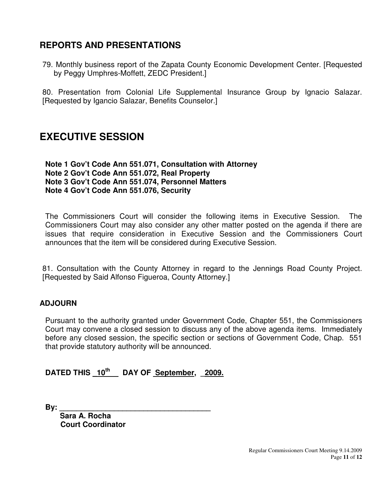## **REPORTS AND PRESENTATIONS**

79. Monthly business report of the Zapata County Economic Development Center. [Requested by Peggy Umphres-Moffett, ZEDC President.]

80. Presentation from Colonial Life Supplemental Insurance Group by Ignacio Salazar. [Requested by Igancio Salazar, Benefits Counselor.]

## **EXECUTIVE SESSION**

#### **Note 1 Gov't Code Ann 551.071, Consultation with Attorney Note 2 Gov't Code Ann 551.072, Real Property Note 3 Gov't Code Ann 551.074, Personnel Matters Note 4 Gov't Code Ann 551.076, Security**

The Commissioners Court will consider the following items in Executive Session. The Commissioners Court may also consider any other matter posted on the agenda if there are issues that require consideration in Executive Session and the Commissioners Court announces that the item will be considered during Executive Session.

81. Consultation with the County Attorney in regard to the Jennings Road County Project. [Requested by Said Alfonso Figueroa, County Attorney.]

### **ADJOURN**

Pursuant to the authority granted under Government Code, Chapter 551, the Commissioners Court may convene a closed session to discuss any of the above agenda items. Immediately before any closed session, the specific section or sections of Government Code, Chap. 551 that provide statutory authority will be announced.

### **DATED THIS \_10th DAY OF September, \_2009.**

**By: \_\_\_\_\_\_\_\_\_\_\_\_\_\_\_\_\_\_\_\_\_\_\_\_\_\_\_\_\_\_\_\_\_\_\_\_** 

 **Sara A. Rocha Court Coordinator**